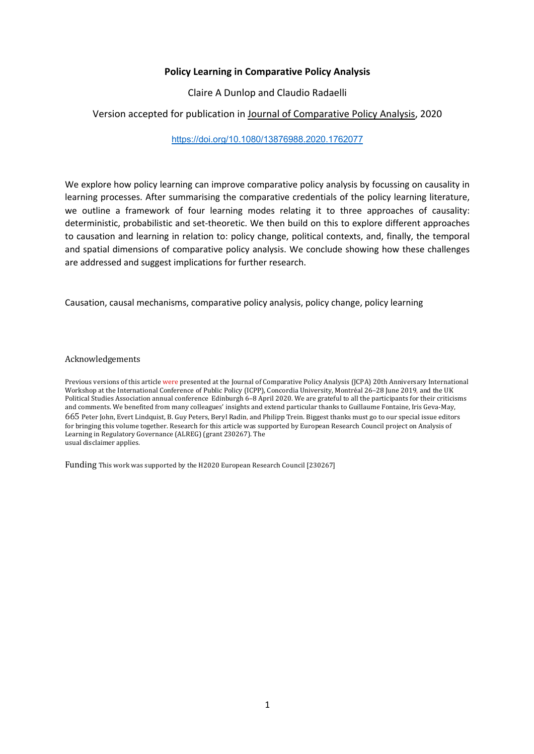## **Policy Learning in Comparative Policy Analysis**

Claire A Dunlop and Claudio Radaelli

## Version accepted for publication in Journal of Comparative Policy Analysis, 2020

https://doi.org/10.1080/13876988.2020.1762077

We explore how policy learning can improve comparative policy analysis by focussing on causality in learning processes. After summarising the comparative credentials of the policy learning literature, we outline a framework of four learning modes relating it to three approaches of causality: deterministic, probabilistic and set-theoretic. We then build on this to explore different approaches to causation and learning in relation to: policy change, political contexts, and, finally, the temporal and spatial dimensions of comparative policy analysis. We conclude showing how these challenges are addressed and suggest implications for further research.

Causation, causal mechanisms, comparative policy analysis, policy change, policy learning

Acknowledgements 

Previous versions of this article were presented at the Journal of Comparative Policy Analysis (JCPA) 20th Anniversary International Workshop at the International Conference of Public Policy (ICPP), Concordia University, Montréal 26-28 June 2019, and the UK Political Studies Association annual conference Edinburgh 6–8 April 2020. We are grateful to all the participants for their criticisms and comments. We benefited from many colleagues' insights and extend particular thanks to Guillaume Fontaine, Iris Geva-May, 665 Peter John, Evert Lindquist, B. Guy Peters, Beryl Radin, and Philipp Trein. Biggest thanks must go to our special issue editors for bringing this volume together. Research for this article was supported by European Research Council project on Analysis of Learning in Regulatory Governance (ALREG) (grant 230267). The usual disclaimer applies.

Funding This work was supported by the H2020 European Research Council [230267]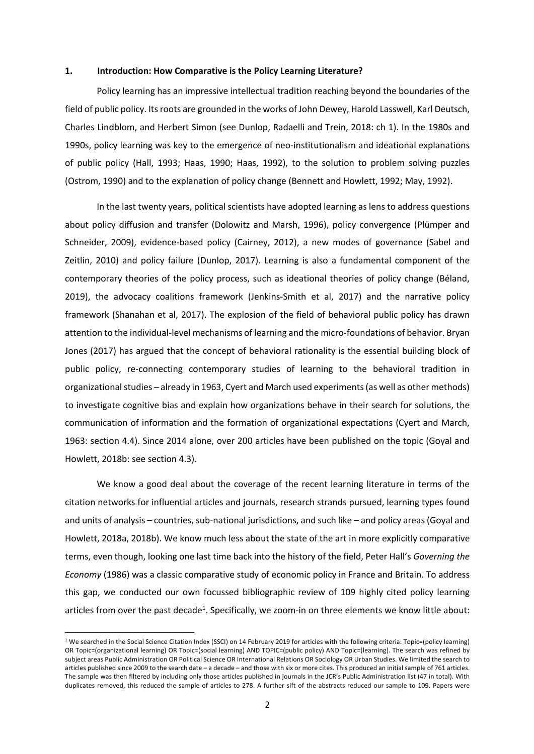#### **1. Introduction: How Comparative is the Policy Learning Literature?**

Policy learning has an impressive intellectual tradition reaching beyond the boundaries of the field of public policy. Its roots are grounded in the works of John Dewey, Harold Lasswell, Karl Deutsch, Charles Lindblom, and Herbert Simon (see Dunlop, Radaelli and Trein, 2018: ch 1). In the 1980s and 1990s, policy learning was key to the emergence of neo-institutionalism and ideational explanations of public policy (Hall, 1993; Haas, 1990; Haas, 1992), to the solution to problem solving puzzles (Ostrom, 1990) and to the explanation of policy change (Bennett and Howlett, 1992; May, 1992).

In the last twenty years, political scientists have adopted learning as lens to address questions about policy diffusion and transfer (Dolowitz and Marsh, 1996), policy convergence (Plümper and Schneider, 2009), evidence-based policy (Cairney, 2012), a new modes of governance (Sabel and Zeitlin, 2010) and policy failure (Dunlop, 2017). Learning is also a fundamental component of the contemporary theories of the policy process, such as ideational theories of policy change (Béland, 2019), the advocacy coalitions framework (Jenkins-Smith et al, 2017) and the narrative policy framework (Shanahan et al, 2017). The explosion of the field of behavioral public policy has drawn attention to the individual-level mechanisms of learning and the micro-foundations of behavior. Bryan Jones (2017) has argued that the concept of behavioral rationality is the essential building block of public policy, re-connecting contemporary studies of learning to the behavioral tradition in organizational studies – already in 1963, Cyert and March used experiments (as well as other methods) to investigate cognitive bias and explain how organizations behave in their search for solutions, the communication of information and the formation of organizational expectations (Cyert and March, 1963: section 4.4). Since 2014 alone, over 200 articles have been published on the topic (Goyal and Howlett, 2018b: see section 4.3).

We know a good deal about the coverage of the recent learning literature in terms of the citation networks for influential articles and journals, research strands pursued, learning types found and units of analysis – countries, sub-national jurisdictions, and such like – and policy areas (Goyal and Howlett, 2018a, 2018b). We know much less about the state of the art in more explicitly comparative terms, even though, looking one last time back into the history of the field, Peter Hall's *Governing the Economy* (1986) was a classic comparative study of economic policy in France and Britain. To address this gap, we conducted our own focussed bibliographic review of 109 highly cited policy learning articles from over the past decade<sup>1</sup>. Specifically, we zoom-in on three elements we know little about:

<sup>&</sup>lt;sup>1</sup> We searched in the Social Science Citation Index (SSCI) on 14 February 2019 for articles with the following criteria: Topic=(policy learning) OR Topic=(organizational learning) OR Topic=(social learning) AND TOPIC=(public policy) AND Topic=(learning). The search was refined by subject areas Public Administration OR Political Science OR International Relations OR Sociology OR Urban Studies. We limited the search to articles published since 2009 to the search date – a decade – and those with six or more cites. This produced an initial sample of 761 articles. The sample was then filtered by including only those articles published in journals in the JCR's Public Administration list (47 in total). With duplicates removed, this reduced the sample of articles to 278. A further sift of the abstracts reduced our sample to 109. Papers were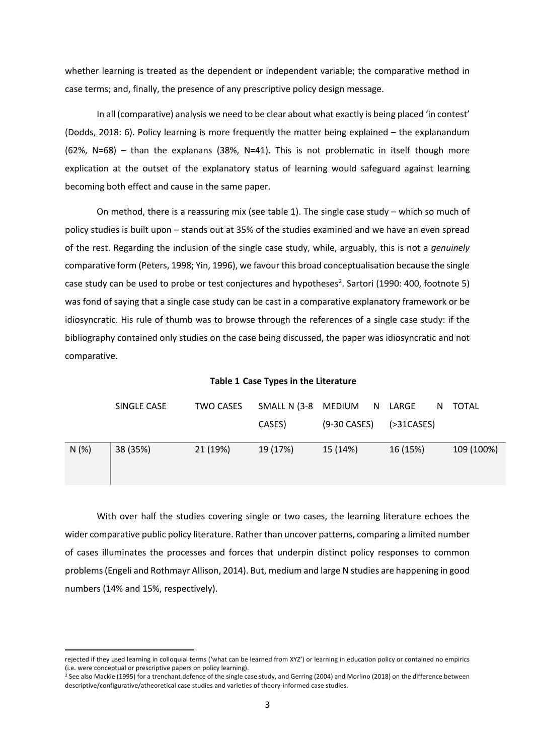whether learning is treated as the dependent or independent variable; the comparative method in case terms; and, finally, the presence of any prescriptive policy design message.

In all (comparative) analysis we need to be clear about what exactly is being placed 'in contest' (Dodds, 2018: 6). Policy learning is more frequently the matter being explained – the explanandum (62%, N=68) – than the explanans (38%, N=41). This is not problematic in itself though more explication at the outset of the explanatory status of learning would safeguard against learning becoming both effect and cause in the same paper.

On method, there is a reassuring mix (see table 1). The single case study – which so much of policy studies is built upon – stands out at 35% of the studies examined and we have an even spread of the rest. Regarding the inclusion of the single case study, while, arguably, this is not a *genuinely* comparative form (Peters, 1998; Yin, 1996), we favour this broad conceptualisation because the single case study can be used to probe or test conjectures and hypotheses<sup>2</sup>. Sartori (1990: 400, footnote 5) was fond of saying that a single case study can be cast in a comparative explanatory framework or be idiosyncratic. His rule of thumb was to browse through the references of a single case study: if the bibliography contained only studies on the case being discussed, the paper was idiosyncratic and not comparative.

**Table 1 Case Types in the Literature**

|      | SINGLE CASE | TWO CASES | SMALL N (3-8 MEDIUM |              | N LARGE       | N TOTAL    |
|------|-------------|-----------|---------------------|--------------|---------------|------------|
|      |             |           | CASES)              | (9-30 CASES) | ( > 31CASES ) |            |
| N(%) | 38 (35%)    | 21 (19%)  | 19 (17%)            | 15 (14%)     | 16 (15%)      | 109 (100%) |
|      |             |           |                     |              |               |            |

With over half the studies covering single or two cases, the learning literature echoes the wider comparative public policy literature. Rather than uncover patterns, comparing a limited number of cases illuminates the processes and forces that underpin distinct policy responses to common problems (Engeli and Rothmayr Allison, 2014). But, medium and large N studies are happening in good numbers (14% and 15%, respectively).

rejected if they used learning in colloquial terms ('what can be learned from XYZ') or learning in education policy or contained no empirics (i.e. were conceptual or prescriptive papers on policy learning).

<sup>&</sup>lt;sup>2</sup> See also Mackie (1995) for a trenchant defence of the single case study, and Gerring (2004) and Morlino (2018) on the difference between descriptive/configurative/atheoretical case studies and varieties of theory-informed case studies.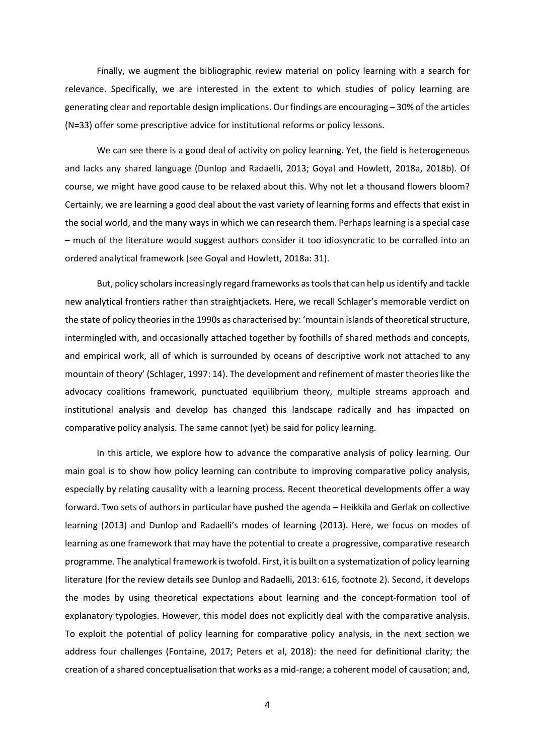Finally, we augment the bibliographic review material on policy learning with a search for relevance. Specifically, we are interested in the extent to which studies of policy learning are generating clear and reportable design implications. Our findings are encouraging – 30% of the articles (N=33) offer some prescriptive advice for institutional reforms or policy lessons.

We can see there is a good deal of activity on policy learning. Yet, the field is heterogeneous and lacks any shared language (Dunlop and Radaelli, 2013; Goyal and Howlett, 2018a, 2018b). Of course, we might have good cause to be relaxed about this. Why not let a thousand flowers bloom? Certainly, we are learning a good deal about the vast variety of learning forms and effects that exist in the social world, and the many ways in which we can research them. Perhaps learning is a special case – much of the literature would suggest authors consider it too idiosyncratic to be corralled into an ordered analytical framework (see Goyal and Howlett, 2018a: 31).

But, policy scholars increasingly regard frameworks as tools that can help us identify and tackle new analytical frontiers rather than straightjackets. Here, we recall Schlager's memorable verdict on the state of policy theories in the 1990s as characterised by: 'mountain islands of theoretical structure, intermingled with, and occasionally attached together by foothills of shared methods and concepts, and empirical work, all of which is surrounded by oceans of descriptive work not attached to any mountain of theory' (Schlager, 1997: 14). The development and refinement of master theories like the advocacy coalitions framework, punctuated equilibrium theory, multiple streams approach and institutional analysis and develop has changed this landscape radically and has impacted on comparative policy analysis. The same cannot (yet) be said for policy learning.

In this article, we explore how to advance the comparative analysis of policy learning. Our main goal is to show how policy learning can contribute to improving comparative policy analysis, especially by relating causality with a learning process. Recent theoretical developments offer a way forward. Two sets of authors in particular have pushed the agenda – Heikkila and Gerlak on collective learning (2013) and Dunlop and Radaelli's modes of learning (2013). Here, we focus on modes of learning as one framework that may have the potential to create a progressive, comparative research programme. The analytical framework is twofold. First, it is built on a systematization of policy learning literature (for the review details see Dunlop and Radaelli, 2013: 616, footnote 2). Second, it develops the modes by using theoretical expectations about learning and the concept-formation tool of explanatory typologies. However, this model does not explicitly deal with the comparative analysis. To exploit the potential of policy learning for comparative policy analysis, in the next section we address four challenges (Fontaine, 2017; Peters et al, 2018): the need for definitional clarity; the creation of a shared conceptualisation that works as a mid-range; a coherent model of causation; and,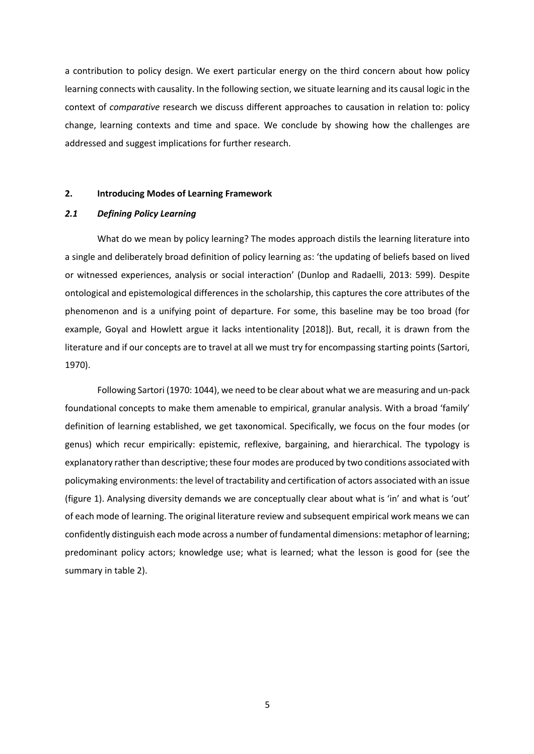a contribution to policy design. We exert particular energy on the third concern about how policy learning connects with causality. In the following section, we situate learning and its causal logic in the context of *comparative* research we discuss different approaches to causation in relation to: policy change, learning contexts and time and space. We conclude by showing how the challenges are addressed and suggest implications for further research.

### **2. Introducing Modes of Learning Framework**

## *2.1 Defining Policy Learning*

What do we mean by policy learning? The modes approach distils the learning literature into a single and deliberately broad definition of policy learning as: 'the updating of beliefs based on lived or witnessed experiences, analysis or social interaction' (Dunlop and Radaelli, 2013: 599). Despite ontological and epistemological differences in the scholarship, this captures the core attributes of the phenomenon and is a unifying point of departure. For some, this baseline may be too broad (for example, Goyal and Howlett argue it lacks intentionality [2018]). But, recall, it is drawn from the literature and if our concepts are to travel at all we must try for encompassing starting points (Sartori, 1970).

Following Sartori (1970: 1044), we need to be clear about what we are measuring and un-pack foundational concepts to make them amenable to empirical, granular analysis. With a broad 'family' definition of learning established, we get taxonomical. Specifically, we focus on the four modes (or genus) which recur empirically: epistemic, reflexive, bargaining, and hierarchical. The typology is explanatory rather than descriptive; these four modes are produced by two conditions associated with policymaking environments: the level of tractability and certification of actors associated with an issue (figure 1). Analysing diversity demands we are conceptually clear about what is 'in' and what is 'out' of each mode of learning. The original literature review and subsequent empirical work means we can confidently distinguish each mode across a number of fundamental dimensions: metaphor of learning; predominant policy actors; knowledge use; what is learned; what the lesson is good for (see the summary in table 2).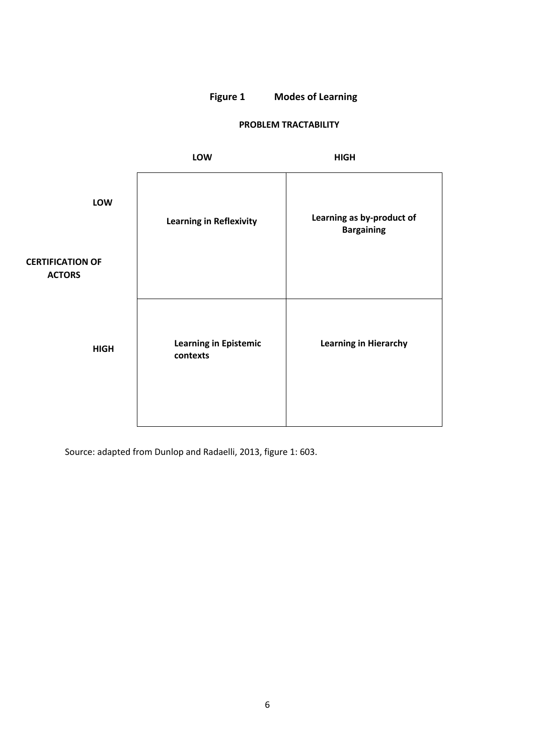# **Figure 1 Modes of Learning**

# **PROBLEM TRACTABILITY**

|                                          | LOW                                      | <b>HIGH</b>                                    |  |
|------------------------------------------|------------------------------------------|------------------------------------------------|--|
| LOW                                      | <b>Learning in Reflexivity</b>           | Learning as by-product of<br><b>Bargaining</b> |  |
| <b>CERTIFICATION OF</b><br><b>ACTORS</b> |                                          |                                                |  |
| <b>HIGH</b>                              | <b>Learning in Epistemic</b><br>contexts | <b>Learning in Hierarchy</b>                   |  |

Source: adapted from Dunlop and Radaelli, 2013, figure 1: 603.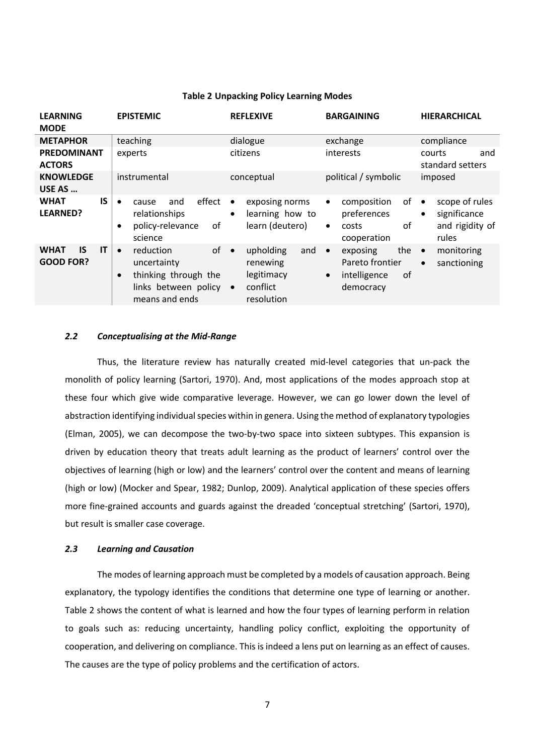| <b>LEARNING</b><br><b>MODE</b>                     | <b>EPISTEMIC</b>                                                                                                           | <b>REFLEXIVE</b>                                                                               | <b>BARGAINING</b>                                                                               | <b>HIERARCHICAL</b>                                                                  |
|----------------------------------------------------|----------------------------------------------------------------------------------------------------------------------------|------------------------------------------------------------------------------------------------|-------------------------------------------------------------------------------------------------|--------------------------------------------------------------------------------------|
| <b>METAPHOR</b>                                    | teaching                                                                                                                   | dialogue                                                                                       | exchange                                                                                        | compliance                                                                           |
| <b>PREDOMINANT</b><br><b>ACTORS</b>                | experts                                                                                                                    | citizens                                                                                       | interests                                                                                       | and<br>courts<br>standard setters                                                    |
| <b>KNOWLEDGE</b><br>USE AS                         | instrumental                                                                                                               | conceptual                                                                                     | political / symbolic                                                                            | imposed                                                                              |
| <b>IS</b><br><b>WHAT</b><br>LEARNED?               | effect<br>and<br>$\bullet$<br>cause<br>relationships<br>policy-relevance<br>of<br>٠<br>science                             | exposing norms<br>$\bullet$<br>learning how to<br>$\bullet$<br>learn (deutero)                 | of<br>composition<br>$\bullet$<br>preferences<br>οf<br>costs<br>$\bullet$<br>cooperation        | scope of rules<br>$\bullet$<br>significance<br>$\bullet$<br>and rigidity of<br>rules |
| IT<br><b>IS</b><br><b>WHAT</b><br><b>GOOD FOR?</b> | of<br>reduction<br>$\bullet$<br>uncertainty<br>thinking through the<br>$\bullet$<br>links between policy<br>means and ends | upholding<br>and<br>$\bullet$<br>renewing<br>legitimacy<br>conflict<br>$\bullet$<br>resolution | the<br>exposing<br>$\bullet$<br>Pareto frontier<br>of<br>intelligence<br>$\bullet$<br>democracy | monitoring<br>$\bullet$<br>sanctioning<br>$\bullet$                                  |

### **Table 2 Unpacking Policy Learning Modes**

### *2.2 Conceptualising at the Mid-Range*

Thus, the literature review has naturally created mid-level categories that un-pack the monolith of policy learning (Sartori, 1970). And, most applications of the modes approach stop at these four which give wide comparative leverage. However, we can go lower down the level of abstraction identifying individual species within in genera. Using the method of explanatory typologies (Elman, 2005), we can decompose the two-by-two space into sixteen subtypes. This expansion is driven by education theory that treats adult learning as the product of learners' control over the objectives of learning (high or low) and the learners' control over the content and means of learning (high or low) (Mocker and Spear, 1982; Dunlop, 2009). Analytical application of these species offers more fine-grained accounts and guards against the dreaded 'conceptual stretching' (Sartori, 1970), but result is smaller case coverage.

## *2.3 Learning and Causation*

The modes of learning approach must be completed by a models of causation approach. Being explanatory, the typology identifies the conditions that determine one type of learning or another. Table 2 shows the content of what is learned and how the four types of learning perform in relation to goals such as: reducing uncertainty, handling policy conflict, exploiting the opportunity of cooperation, and delivering on compliance. This is indeed a lens put on learning as an effect of causes. The causes are the type of policy problems and the certification of actors.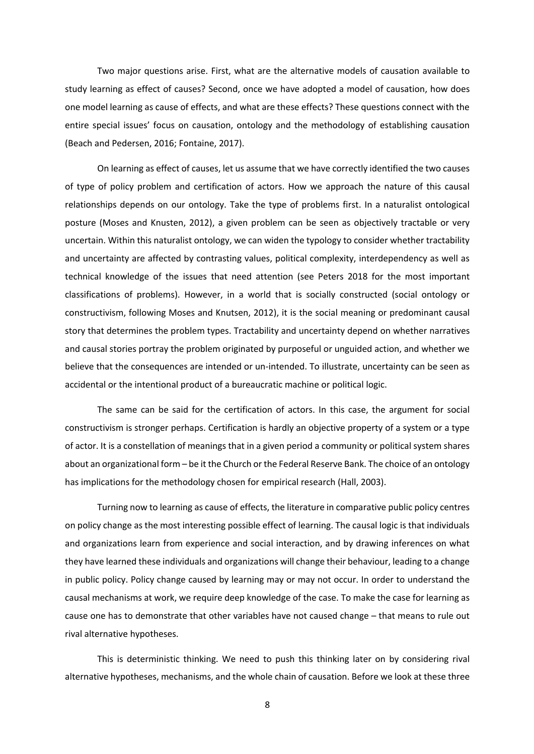Two major questions arise. First, what are the alternative models of causation available to study learning as effect of causes? Second, once we have adopted a model of causation, how does one model learning as cause of effects, and what are these effects? These questions connect with the entire special issues' focus on causation, ontology and the methodology of establishing causation (Beach and Pedersen, 2016; Fontaine, 2017).

On learning as effect of causes, let us assume that we have correctly identified the two causes of type of policy problem and certification of actors. How we approach the nature of this causal relationships depends on our ontology. Take the type of problems first. In a naturalist ontological posture (Moses and Knusten, 2012), a given problem can be seen as objectively tractable or very uncertain. Within this naturalist ontology, we can widen the typology to consider whether tractability and uncertainty are affected by contrasting values, political complexity, interdependency as well as technical knowledge of the issues that need attention (see Peters 2018 for the most important classifications of problems). However, in a world that is socially constructed (social ontology or constructivism, following Moses and Knutsen, 2012), it is the social meaning or predominant causal story that determines the problem types. Tractability and uncertainty depend on whether narratives and causal stories portray the problem originated by purposeful or unguided action, and whether we believe that the consequences are intended or un-intended. To illustrate, uncertainty can be seen as accidental or the intentional product of a bureaucratic machine or political logic.

The same can be said for the certification of actors. In this case, the argument for social constructivism is stronger perhaps. Certification is hardly an objective property of a system or a type of actor. It is a constellation of meanings that in a given period a community or political system shares about an organizational form – be it the Church or the Federal Reserve Bank. The choice of an ontology has implications for the methodology chosen for empirical research (Hall, 2003).

Turning now to learning as cause of effects, the literature in comparative public policy centres on policy change as the most interesting possible effect of learning. The causal logic is that individuals and organizations learn from experience and social interaction, and by drawing inferences on what they have learned these individuals and organizations will change their behaviour, leading to a change in public policy. Policy change caused by learning may or may not occur. In order to understand the causal mechanisms at work, we require deep knowledge of the case. To make the case for learning as cause one has to demonstrate that other variables have not caused change – that means to rule out rival alternative hypotheses.

This is deterministic thinking. We need to push this thinking later on by considering rival alternative hypotheses, mechanisms, and the whole chain of causation. Before we look at these three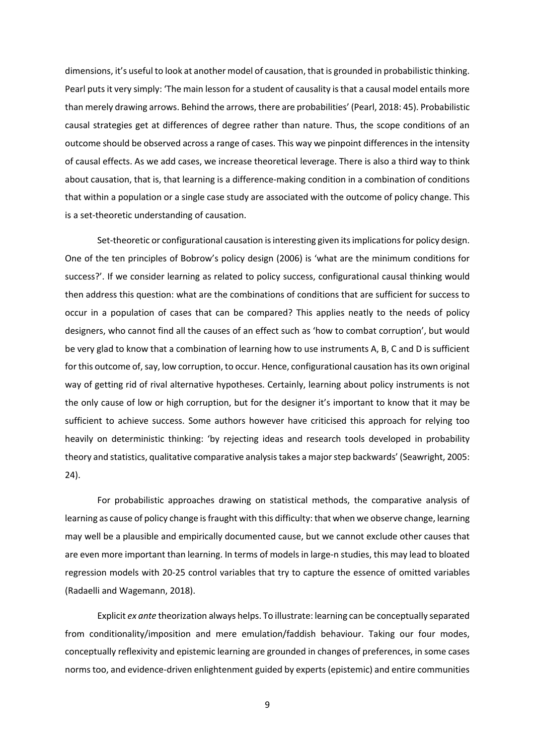dimensions, it's useful to look at another model of causation, that is grounded in probabilistic thinking. Pearl puts it very simply: 'The main lesson for a student of causality is that a causal model entails more than merely drawing arrows. Behind the arrows, there are probabilities' (Pearl, 2018: 45). Probabilistic causal strategies get at differences of degree rather than nature. Thus, the scope conditions of an outcome should be observed across a range of cases. This way we pinpoint differences in the intensity of causal effects. As we add cases, we increase theoretical leverage. There is also a third way to think about causation, that is, that learning is a difference-making condition in a combination of conditions that within a population or a single case study are associated with the outcome of policy change. This is a set-theoretic understanding of causation.

Set-theoretic or configurational causation is interesting given its implications for policy design. One of the ten principles of Bobrow's policy design (2006) is 'what are the minimum conditions for success?'. If we consider learning as related to policy success, configurational causal thinking would then address this question: what are the combinations of conditions that are sufficient for success to occur in a population of cases that can be compared? This applies neatly to the needs of policy designers, who cannot find all the causes of an effect such as 'how to combat corruption', but would be very glad to know that a combination of learning how to use instruments A, B, C and D is sufficient for this outcome of, say, low corruption, to occur. Hence, configurational causation has its own original way of getting rid of rival alternative hypotheses. Certainly, learning about policy instruments is not the only cause of low or high corruption, but for the designer it's important to know that it may be sufficient to achieve success. Some authors however have criticised this approach for relying too heavily on deterministic thinking: 'by rejecting ideas and research tools developed in probability theory and statistics, qualitative comparative analysis takes a major step backwards' (Seawright, 2005: 24).

For probabilistic approaches drawing on statistical methods, the comparative analysis of learning as cause of policy change is fraught with this difficulty: that when we observe change, learning may well be a plausible and empirically documented cause, but we cannot exclude other causes that are even more important than learning. In terms of models in large-n studies, this may lead to bloated regression models with 20-25 control variables that try to capture the essence of omitted variables (Radaelli and Wagemann, 2018).

Explicit *ex ante* theorization always helps. To illustrate: learning can be conceptually separated from conditionality/imposition and mere emulation/faddish behaviour. Taking our four modes, conceptually reflexivity and epistemic learning are grounded in changes of preferences, in some cases norms too, and evidence-driven enlightenment guided by experts (epistemic) and entire communities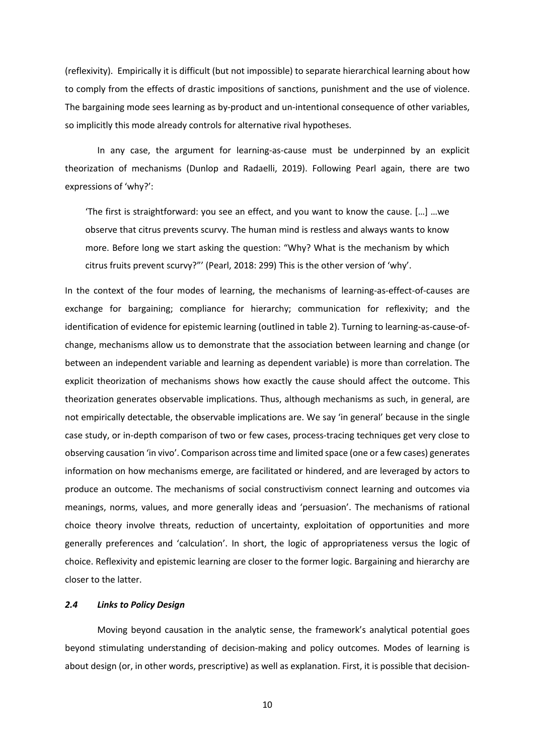(reflexivity). Empirically it is difficult (but not impossible) to separate hierarchical learning about how to comply from the effects of drastic impositions of sanctions, punishment and the use of violence. The bargaining mode sees learning as by-product and un-intentional consequence of other variables, so implicitly this mode already controls for alternative rival hypotheses.

In any case, the argument for learning-as-cause must be underpinned by an explicit theorization of mechanisms (Dunlop and Radaelli, 2019). Following Pearl again, there are two expressions of 'why?':

'The first is straightforward: you see an effect, and you want to know the cause. […] …we observe that citrus prevents scurvy. The human mind is restless and always wants to know more. Before long we start asking the question: "Why? What is the mechanism by which citrus fruits prevent scurvy?"' (Pearl, 2018: 299) This is the other version of 'why'.

In the context of the four modes of learning, the mechanisms of learning-as-effect-of-causes are exchange for bargaining; compliance for hierarchy; communication for reflexivity; and the identification of evidence for epistemic learning (outlined in table 2). Turning to learning-as-cause-ofchange, mechanisms allow us to demonstrate that the association between learning and change (or between an independent variable and learning as dependent variable) is more than correlation. The explicit theorization of mechanisms shows how exactly the cause should affect the outcome. This theorization generates observable implications. Thus, although mechanisms as such, in general, are not empirically detectable, the observable implications are. We say 'in general' because in the single case study, or in-depth comparison of two or few cases, process-tracing techniques get very close to observing causation 'in vivo'. Comparison across time and limited space (one or a few cases) generates information on how mechanisms emerge, are facilitated or hindered, and are leveraged by actors to produce an outcome. The mechanisms of social constructivism connect learning and outcomes via meanings, norms, values, and more generally ideas and 'persuasion'. The mechanisms of rational choice theory involve threats, reduction of uncertainty, exploitation of opportunities and more generally preferences and 'calculation'. In short, the logic of appropriateness versus the logic of choice. Reflexivity and epistemic learning are closer to the former logic. Bargaining and hierarchy are closer to the latter.

## *2.4 Links to Policy Design*

Moving beyond causation in the analytic sense, the framework's analytical potential goes beyond stimulating understanding of decision-making and policy outcomes. Modes of learning is about design (or, in other words, prescriptive) as well as explanation. First, it is possible that decision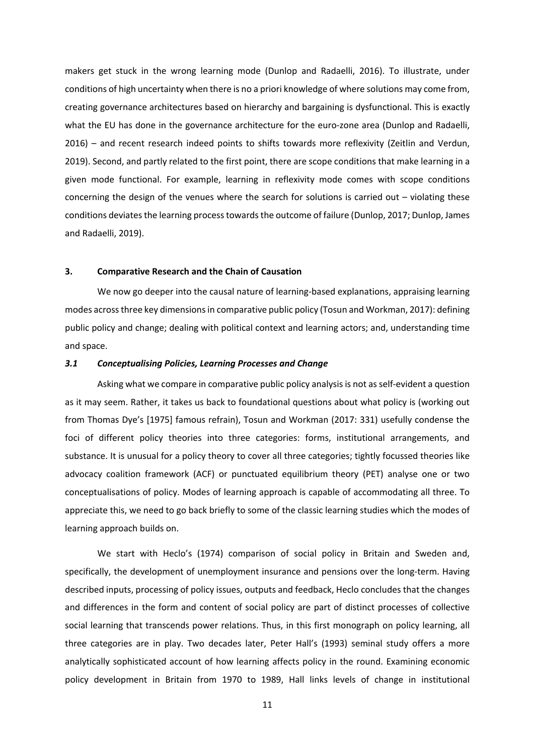makers get stuck in the wrong learning mode (Dunlop and Radaelli, 2016). To illustrate, under conditions of high uncertainty when there is no a priori knowledge of where solutions may come from, creating governance architectures based on hierarchy and bargaining is dysfunctional. This is exactly what the EU has done in the governance architecture for the euro-zone area (Dunlop and Radaelli, 2016) – and recent research indeed points to shifts towards more reflexivity (Zeitlin and Verdun, 2019). Second, and partly related to the first point, there are scope conditions that make learning in a given mode functional. For example, learning in reflexivity mode comes with scope conditions concerning the design of the venues where the search for solutions is carried out – violating these conditions deviates the learning process towards the outcome of failure (Dunlop, 2017; Dunlop, James and Radaelli, 2019).

## **3. Comparative Research and the Chain of Causation**

We now go deeper into the causal nature of learning-based explanations, appraising learning modes acrossthree key dimensionsin comparative public policy (Tosun and Workman, 2017): defining public policy and change; dealing with political context and learning actors; and, understanding time and space.

#### *3.1 Conceptualising Policies, Learning Processes and Change*

Asking what we compare in comparative public policy analysisis not as self-evident a question as it may seem. Rather, it takes us back to foundational questions about what policy is (working out from Thomas Dye's [1975] famous refrain), Tosun and Workman (2017: 331) usefully condense the foci of different policy theories into three categories: forms, institutional arrangements, and substance. It is unusual for a policy theory to cover all three categories; tightly focussed theories like advocacy coalition framework (ACF) or punctuated equilibrium theory (PET) analyse one or two conceptualisations of policy. Modes of learning approach is capable of accommodating all three. To appreciate this, we need to go back briefly to some of the classic learning studies which the modes of learning approach builds on.

We start with Heclo's (1974) comparison of social policy in Britain and Sweden and, specifically, the development of unemployment insurance and pensions over the long-term. Having described inputs, processing of policy issues, outputs and feedback, Heclo concludes that the changes and differences in the form and content of social policy are part of distinct processes of collective social learning that transcends power relations. Thus, in this first monograph on policy learning, all three categories are in play. Two decades later, Peter Hall's (1993) seminal study offers a more analytically sophisticated account of how learning affects policy in the round. Examining economic policy development in Britain from 1970 to 1989, Hall links levels of change in institutional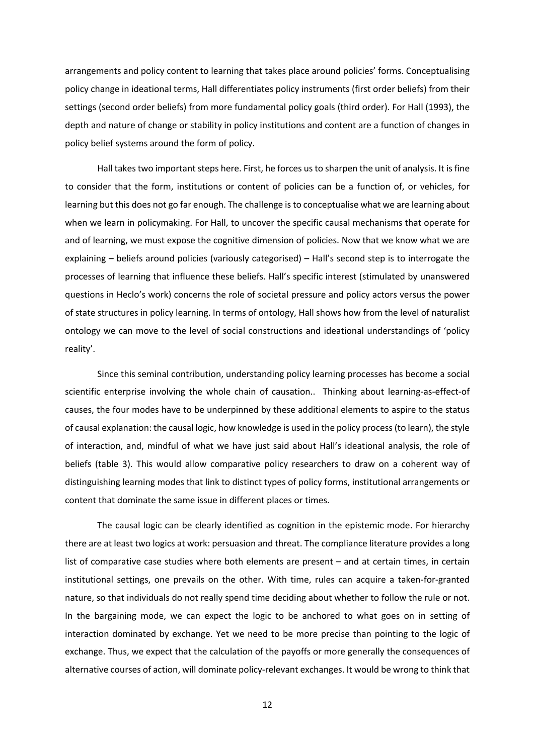arrangements and policy content to learning that takes place around policies' forms. Conceptualising policy change in ideational terms, Hall differentiates policy instruments (first order beliefs) from their settings (second order beliefs) from more fundamental policy goals (third order). For Hall (1993), the depth and nature of change or stability in policy institutions and content are a function of changes in policy belief systems around the form of policy.

Hall takes two important steps here. First, he forces us to sharpen the unit of analysis. It is fine to consider that the form, institutions or content of policies can be a function of, or vehicles, for learning but this does not go far enough. The challenge is to conceptualise what we are learning about when we learn in policymaking. For Hall, to uncover the specific causal mechanisms that operate for and of learning, we must expose the cognitive dimension of policies. Now that we know what we are explaining – beliefs around policies (variously categorised) – Hall's second step is to interrogate the processes of learning that influence these beliefs. Hall's specific interest (stimulated by unanswered questions in Heclo's work) concerns the role of societal pressure and policy actors versus the power of state structures in policy learning. In terms of ontology, Hall shows how from the level of naturalist ontology we can move to the level of social constructions and ideational understandings of 'policy reality'.

Since this seminal contribution, understanding policy learning processes has become a social scientific enterprise involving the whole chain of causation.. Thinking about learning-as-effect-of causes, the four modes have to be underpinned by these additional elements to aspire to the status of causal explanation: the causal logic, how knowledge is used in the policy process (to learn), the style of interaction, and, mindful of what we have just said about Hall's ideational analysis, the role of beliefs (table 3). This would allow comparative policy researchers to draw on a coherent way of distinguishing learning modes that link to distinct types of policy forms, institutional arrangements or content that dominate the same issue in different places or times.

The causal logic can be clearly identified as cognition in the epistemic mode. For hierarchy there are at least two logics at work: persuasion and threat. The compliance literature provides a long list of comparative case studies where both elements are present – and at certain times, in certain institutional settings, one prevails on the other. With time, rules can acquire a taken-for-granted nature, so that individuals do not really spend time deciding about whether to follow the rule or not. In the bargaining mode, we can expect the logic to be anchored to what goes on in setting of interaction dominated by exchange. Yet we need to be more precise than pointing to the logic of exchange. Thus, we expect that the calculation of the payoffs or more generally the consequences of alternative courses of action, will dominate policy-relevant exchanges. It would be wrong to think that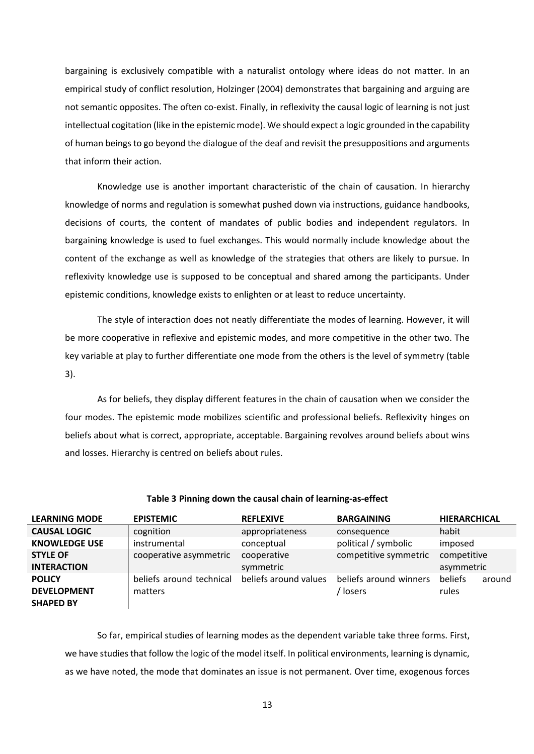bargaining is exclusively compatible with a naturalist ontology where ideas do not matter. In an empirical study of conflict resolution, Holzinger (2004) demonstrates that bargaining and arguing are not semantic opposites. The often co-exist. Finally, in reflexivity the causal logic of learning is not just intellectual cogitation (like in the epistemic mode). We should expect a logic grounded in the capability of human beings to go beyond the dialogue of the deaf and revisit the presuppositions and arguments that inform their action.

Knowledge use is another important characteristic of the chain of causation. In hierarchy knowledge of norms and regulation is somewhat pushed down via instructions, guidance handbooks, decisions of courts, the content of mandates of public bodies and independent regulators. In bargaining knowledge is used to fuel exchanges. This would normally include knowledge about the content of the exchange as well as knowledge of the strategies that others are likely to pursue. In reflexivity knowledge use is supposed to be conceptual and shared among the participants. Under epistemic conditions, knowledge exists to enlighten or at least to reduce uncertainty.

The style of interaction does not neatly differentiate the modes of learning. However, it will be more cooperative in reflexive and epistemic modes, and more competitive in the other two. The key variable at play to further differentiate one mode from the others is the level of symmetry (table 3).

As for beliefs, they display different features in the chain of causation when we consider the four modes. The epistemic mode mobilizes scientific and professional beliefs. Reflexivity hinges on beliefs about what is correct, appropriate, acceptable. Bargaining revolves around beliefs about wins and losses. Hierarchy is centred on beliefs about rules.

| <b>LEARNING MODE</b> | <b>EPISTEMIC</b>         | <b>REFLEXIVE</b>      | <b>BARGAINING</b>      | <b>HIERARCHICAL</b> |
|----------------------|--------------------------|-----------------------|------------------------|---------------------|
| <b>CAUSAL LOGIC</b>  | cognition                | appropriateness       | consequence            | habit               |
| <b>KNOWLEDGE USE</b> | instrumental             | conceptual            | political / symbolic   | imposed             |
| <b>STYLE OF</b>      | cooperative asymmetric   | cooperative           | competitive symmetric  | competitive         |
| <b>INTERACTION</b>   |                          | symmetric             |                        | asymmetric          |
| <b>POLICY</b>        | beliefs around technical | beliefs around values | beliefs around winners | beliefs<br>around   |
| <b>DEVELOPMENT</b>   | matters                  |                       | / losers               | rules               |
| <b>SHAPED BY</b>     |                          |                       |                        |                     |

#### **Table 3 Pinning down the causal chain of learning-as-effect**

So far, empirical studies of learning modes as the dependent variable take three forms. First, we have studies that follow the logic of the model itself. In political environments, learning is dynamic, as we have noted, the mode that dominates an issue is not permanent. Over time, exogenous forces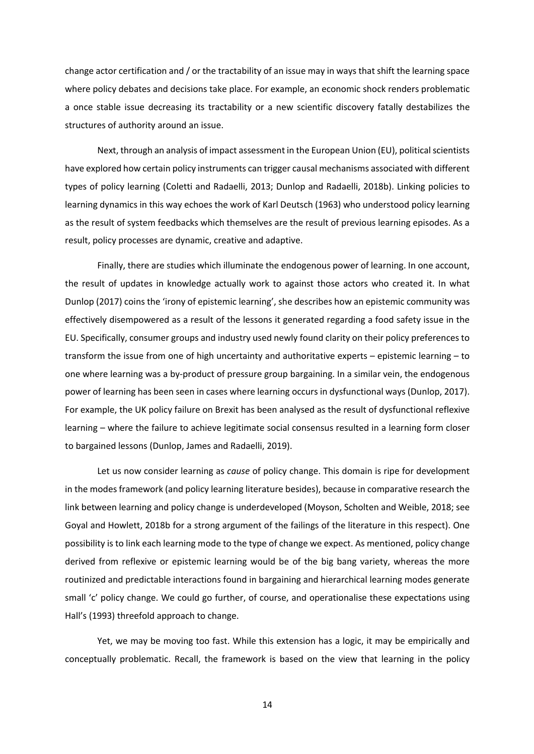change actor certification and / or the tractability of an issue may in ways that shift the learning space where policy debates and decisions take place. For example, an economic shock renders problematic a once stable issue decreasing its tractability or a new scientific discovery fatally destabilizes the structures of authority around an issue.

Next, through an analysis of impact assessment in the European Union (EU), political scientists have explored how certain policy instruments can trigger causal mechanisms associated with different types of policy learning (Coletti and Radaelli, 2013; Dunlop and Radaelli, 2018b). Linking policies to learning dynamics in this way echoes the work of Karl Deutsch (1963) who understood policy learning as the result of system feedbacks which themselves are the result of previous learning episodes. As a result, policy processes are dynamic, creative and adaptive.

Finally, there are studies which illuminate the endogenous power of learning. In one account, the result of updates in knowledge actually work to against those actors who created it. In what Dunlop (2017) coins the 'irony of epistemic learning', she describes how an epistemic community was effectively disempowered as a result of the lessons it generated regarding a food safety issue in the EU. Specifically, consumer groups and industry used newly found clarity on their policy preferences to transform the issue from one of high uncertainty and authoritative experts – epistemic learning – to one where learning was a by-product of pressure group bargaining. In a similar vein, the endogenous power of learning has been seen in cases where learning occurs in dysfunctional ways (Dunlop, 2017). For example, the UK policy failure on Brexit has been analysed as the result of dysfunctional reflexive learning – where the failure to achieve legitimate social consensus resulted in a learning form closer to bargained lessons (Dunlop, James and Radaelli, 2019).

Let us now consider learning as *cause* of policy change. This domain is ripe for development in the modes framework (and policy learning literature besides), because in comparative research the link between learning and policy change is underdeveloped (Moyson, Scholten and Weible, 2018; see Goyal and Howlett, 2018b for a strong argument of the failings of the literature in this respect). One possibility is to link each learning mode to the type of change we expect. As mentioned, policy change derived from reflexive or epistemic learning would be of the big bang variety, whereas the more routinized and predictable interactions found in bargaining and hierarchical learning modes generate small 'c' policy change. We could go further, of course, and operationalise these expectations using Hall's (1993) threefold approach to change.

Yet, we may be moving too fast. While this extension has a logic, it may be empirically and conceptually problematic. Recall, the framework is based on the view that learning in the policy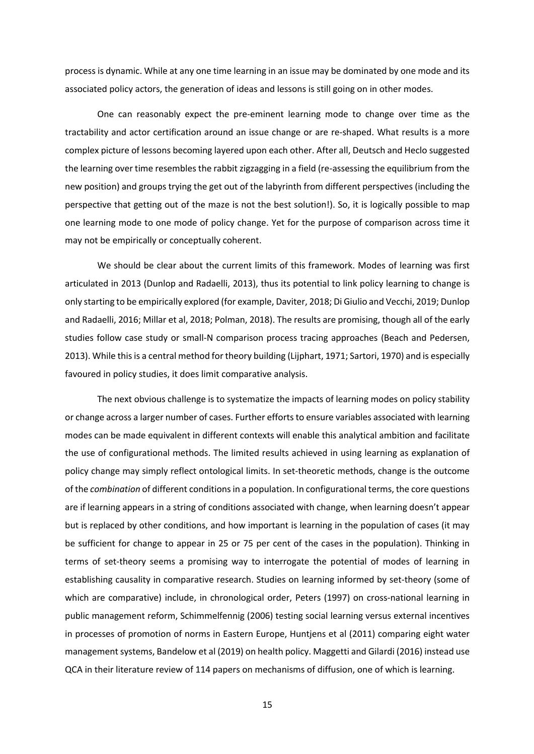process is dynamic. While at any one time learning in an issue may be dominated by one mode and its associated policy actors, the generation of ideas and lessons is still going on in other modes.

One can reasonably expect the pre-eminent learning mode to change over time as the tractability and actor certification around an issue change or are re-shaped. What results is a more complex picture of lessons becoming layered upon each other. After all, Deutsch and Heclo suggested the learning over time resembles the rabbit zigzagging in a field (re-assessing the equilibrium from the new position) and groups trying the get out of the labyrinth from different perspectives (including the perspective that getting out of the maze is not the best solution!). So, it is logically possible to map one learning mode to one mode of policy change. Yet for the purpose of comparison across time it may not be empirically or conceptually coherent.

We should be clear about the current limits of this framework. Modes of learning was first articulated in 2013 (Dunlop and Radaelli, 2013), thus its potential to link policy learning to change is only starting to be empirically explored (for example, Daviter, 2018; Di Giulio and Vecchi, 2019; Dunlop and Radaelli, 2016; Millar et al, 2018; Polman, 2018). The results are promising, though all of the early studies follow case study or small-N comparison process tracing approaches (Beach and Pedersen, 2013). While this is a central method for theory building (Lijphart, 1971; Sartori, 1970) and is especially favoured in policy studies, it does limit comparative analysis.

The next obvious challenge is to systematize the impacts of learning modes on policy stability or change across a larger number of cases. Further efforts to ensure variables associated with learning modes can be made equivalent in different contexts will enable this analytical ambition and facilitate the use of configurational methods. The limited results achieved in using learning as explanation of policy change may simply reflect ontological limits. In set-theoretic methods, change is the outcome of the *combination* of different conditions in a population. In configurational terms, the core questions are if learning appears in a string of conditions associated with change, when learning doesn't appear but is replaced by other conditions, and how important is learning in the population of cases (it may be sufficient for change to appear in 25 or 75 per cent of the cases in the population). Thinking in terms of set-theory seems a promising way to interrogate the potential of modes of learning in establishing causality in comparative research. Studies on learning informed by set-theory (some of which are comparative) include, in chronological order, Peters (1997) on cross-national learning in public management reform, Schimmelfennig (2006) testing social learning versus external incentives in processes of promotion of norms in Eastern Europe, Huntjens et al (2011) comparing eight water management systems, Bandelow et al (2019) on health policy. Maggetti and Gilardi (2016) instead use QCA in their literature review of 114 papers on mechanisms of diffusion, one of which is learning.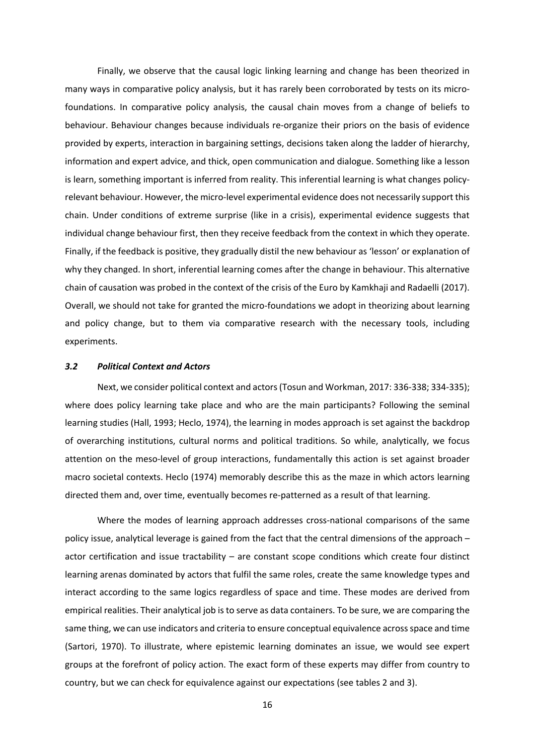Finally, we observe that the causal logic linking learning and change has been theorized in many ways in comparative policy analysis, but it has rarely been corroborated by tests on its microfoundations. In comparative policy analysis, the causal chain moves from a change of beliefs to behaviour. Behaviour changes because individuals re-organize their priors on the basis of evidence provided by experts, interaction in bargaining settings, decisions taken along the ladder of hierarchy, information and expert advice, and thick, open communication and dialogue. Something like a lesson is learn, something important is inferred from reality. This inferential learning is what changes policyrelevant behaviour. However, the micro-level experimental evidence does not necessarily support this chain. Under conditions of extreme surprise (like in a crisis), experimental evidence suggests that individual change behaviour first, then they receive feedback from the context in which they operate. Finally, if the feedback is positive, they gradually distil the new behaviour as 'lesson' or explanation of why they changed. In short, inferential learning comes after the change in behaviour. This alternative chain of causation was probed in the context of the crisis of the Euro by Kamkhaji and Radaelli (2017). Overall, we should not take for granted the micro-foundations we adopt in theorizing about learning and policy change, but to them via comparative research with the necessary tools, including experiments.

## *3.2 Political Context and Actors*

Next, we consider political context and actors(Tosun and Workman, 2017: 336-338; 334-335); where does policy learning take place and who are the main participants? Following the seminal learning studies (Hall, 1993; Heclo, 1974), the learning in modes approach is set against the backdrop of overarching institutions, cultural norms and political traditions. So while, analytically, we focus attention on the meso-level of group interactions, fundamentally this action is set against broader macro societal contexts. Heclo (1974) memorably describe this as the maze in which actors learning directed them and, over time, eventually becomes re-patterned as a result of that learning.

Where the modes of learning approach addresses cross-national comparisons of the same policy issue, analytical leverage is gained from the fact that the central dimensions of the approach – actor certification and issue tractability – are constant scope conditions which create four distinct learning arenas dominated by actors that fulfil the same roles, create the same knowledge types and interact according to the same logics regardless of space and time. These modes are derived from empirical realities. Their analytical job is to serve as data containers. To be sure, we are comparing the same thing, we can use indicators and criteria to ensure conceptual equivalence across space and time (Sartori, 1970). To illustrate, where epistemic learning dominates an issue, we would see expert groups at the forefront of policy action. The exact form of these experts may differ from country to country, but we can check for equivalence against our expectations (see tables 2 and 3).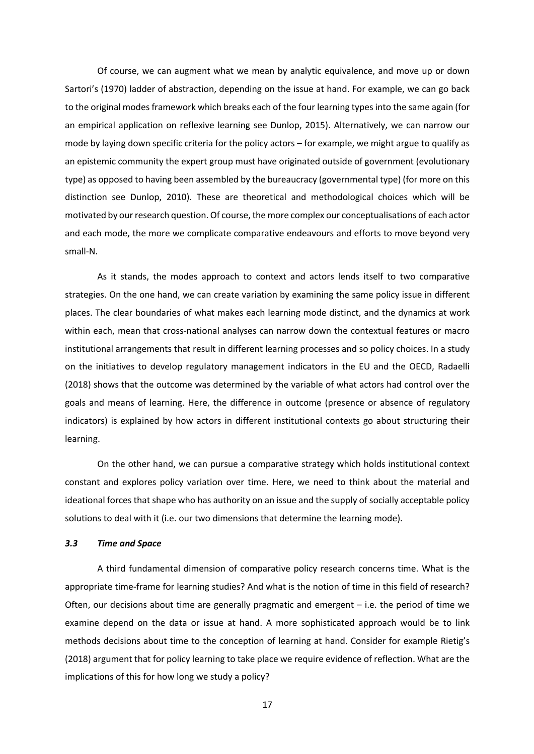Of course, we can augment what we mean by analytic equivalence, and move up or down Sartori's (1970) ladder of abstraction, depending on the issue at hand. For example, we can go back to the original modes framework which breaks each of the four learning types into the same again (for an empirical application on reflexive learning see Dunlop, 2015). Alternatively, we can narrow our mode by laying down specific criteria for the policy actors – for example, we might argue to qualify as an epistemic community the expert group must have originated outside of government (evolutionary type) as opposed to having been assembled by the bureaucracy (governmental type) (for more on this distinction see Dunlop, 2010). These are theoretical and methodological choices which will be motivated by our research question. Of course, the more complex our conceptualisations of each actor and each mode, the more we complicate comparative endeavours and efforts to move beyond very small-N.

As it stands, the modes approach to context and actors lends itself to two comparative strategies. On the one hand, we can create variation by examining the same policy issue in different places. The clear boundaries of what makes each learning mode distinct, and the dynamics at work within each, mean that cross-national analyses can narrow down the contextual features or macro institutional arrangements that result in different learning processes and so policy choices. In a study on the initiatives to develop regulatory management indicators in the EU and the OECD, Radaelli (2018) shows that the outcome was determined by the variable of what actors had control over the goals and means of learning. Here, the difference in outcome (presence or absence of regulatory indicators) is explained by how actors in different institutional contexts go about structuring their learning.

On the other hand, we can pursue a comparative strategy which holds institutional context constant and explores policy variation over time. Here, we need to think about the material and ideational forces that shape who has authority on an issue and the supply of socially acceptable policy solutions to deal with it (i.e. our two dimensions that determine the learning mode).

## *3.3 Time and Space*

A third fundamental dimension of comparative policy research concerns time. What is the appropriate time-frame for learning studies? And what is the notion of time in this field of research? Often, our decisions about time are generally pragmatic and emergent – i.e. the period of time we examine depend on the data or issue at hand. A more sophisticated approach would be to link methods decisions about time to the conception of learning at hand. Consider for example Rietig's (2018) argument that for policy learning to take place we require evidence of reflection. What are the implications of this for how long we study a policy?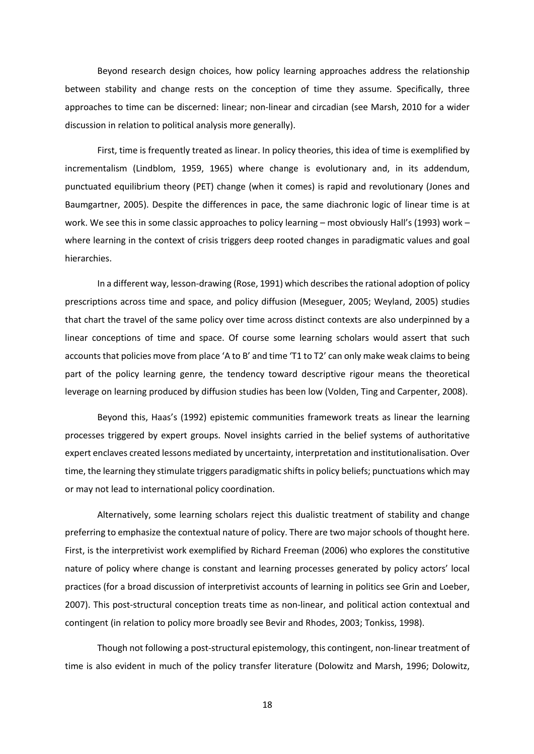Beyond research design choices, how policy learning approaches address the relationship between stability and change rests on the conception of time they assume. Specifically, three approaches to time can be discerned: linear; non-linear and circadian (see Marsh, 2010 for a wider discussion in relation to political analysis more generally).

First, time is frequently treated as linear. In policy theories, this idea of time is exemplified by incrementalism (Lindblom, 1959, 1965) where change is evolutionary and, in its addendum, punctuated equilibrium theory (PET) change (when it comes) is rapid and revolutionary (Jones and Baumgartner, 2005). Despite the differences in pace, the same diachronic logic of linear time is at work. We see this in some classic approaches to policy learning – most obviously Hall's (1993) work – where learning in the context of crisis triggers deep rooted changes in paradigmatic values and goal hierarchies.

In a different way, lesson-drawing (Rose, 1991) which describes the rational adoption of policy prescriptions across time and space, and policy diffusion (Meseguer, 2005; Weyland, 2005) studies that chart the travel of the same policy over time across distinct contexts are also underpinned by a linear conceptions of time and space. Of course some learning scholars would assert that such accounts that policies move from place 'A to B' and time 'T1 to T2' can only make weak claims to being part of the policy learning genre, the tendency toward descriptive rigour means the theoretical leverage on learning produced by diffusion studies has been low (Volden, Ting and Carpenter, 2008).

Beyond this, Haas's (1992) epistemic communities framework treats as linear the learning processes triggered by expert groups. Novel insights carried in the belief systems of authoritative expert enclaves created lessons mediated by uncertainty, interpretation and institutionalisation. Over time, the learning they stimulate triggers paradigmatic shifts in policy beliefs; punctuations which may or may not lead to international policy coordination.

Alternatively, some learning scholars reject this dualistic treatment of stability and change preferring to emphasize the contextual nature of policy. There are two major schools of thought here. First, is the interpretivist work exemplified by Richard Freeman (2006) who explores the constitutive nature of policy where change is constant and learning processes generated by policy actors' local practices (for a broad discussion of interpretivist accounts of learning in politics see Grin and Loeber, 2007). This post-structural conception treats time as non-linear, and political action contextual and contingent (in relation to policy more broadly see Bevir and Rhodes, 2003; Tonkiss, 1998).

Though not following a post-structural epistemology, this contingent, non-linear treatment of time is also evident in much of the policy transfer literature (Dolowitz and Marsh, 1996; Dolowitz,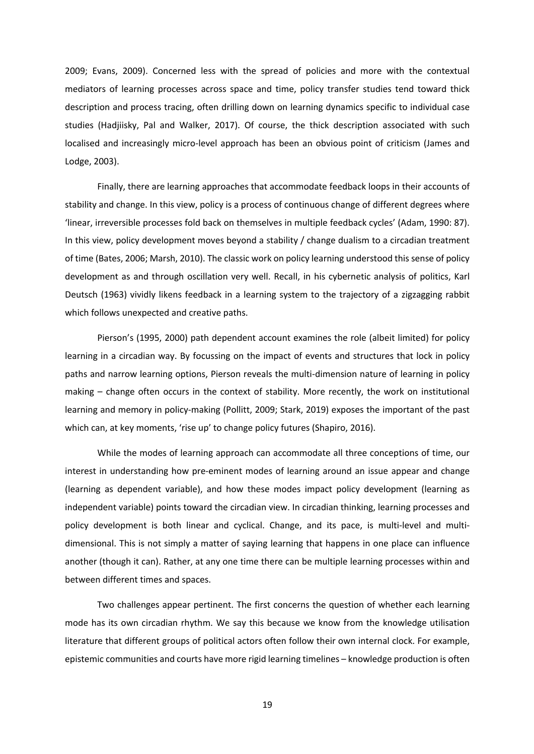2009; Evans, 2009). Concerned less with the spread of policies and more with the contextual mediators of learning processes across space and time, policy transfer studies tend toward thick description and process tracing, often drilling down on learning dynamics specific to individual case studies (Hadjiisky, Pal and Walker, 2017). Of course, the thick description associated with such localised and increasingly micro-level approach has been an obvious point of criticism (James and Lodge, 2003).

Finally, there are learning approaches that accommodate feedback loops in their accounts of stability and change. In this view, policy is a process of continuous change of different degrees where 'linear, irreversible processes fold back on themselves in multiple feedback cycles' (Adam, 1990: 87). In this view, policy development moves beyond a stability / change dualism to a circadian treatment of time (Bates, 2006; Marsh, 2010). The classic work on policy learning understood this sense of policy development as and through oscillation very well. Recall, in his cybernetic analysis of politics, Karl Deutsch (1963) vividly likens feedback in a learning system to the trajectory of a zigzagging rabbit which follows unexpected and creative paths.

Pierson's (1995, 2000) path dependent account examines the role (albeit limited) for policy learning in a circadian way. By focussing on the impact of events and structures that lock in policy paths and narrow learning options, Pierson reveals the multi-dimension nature of learning in policy making – change often occurs in the context of stability. More recently, the work on institutional learning and memory in policy-making (Pollitt, 2009; Stark, 2019) exposes the important of the past which can, at key moments, 'rise up' to change policy futures (Shapiro, 2016).

While the modes of learning approach can accommodate all three conceptions of time, our interest in understanding how pre-eminent modes of learning around an issue appear and change (learning as dependent variable), and how these modes impact policy development (learning as independent variable) points toward the circadian view. In circadian thinking, learning processes and policy development is both linear and cyclical. Change, and its pace, is multi-level and multidimensional. This is not simply a matter of saying learning that happens in one place can influence another (though it can). Rather, at any one time there can be multiple learning processes within and between different times and spaces.

Two challenges appear pertinent. The first concerns the question of whether each learning mode has its own circadian rhythm. We say this because we know from the knowledge utilisation literature that different groups of political actors often follow their own internal clock. For example, epistemic communities and courts have more rigid learning timelines – knowledge production is often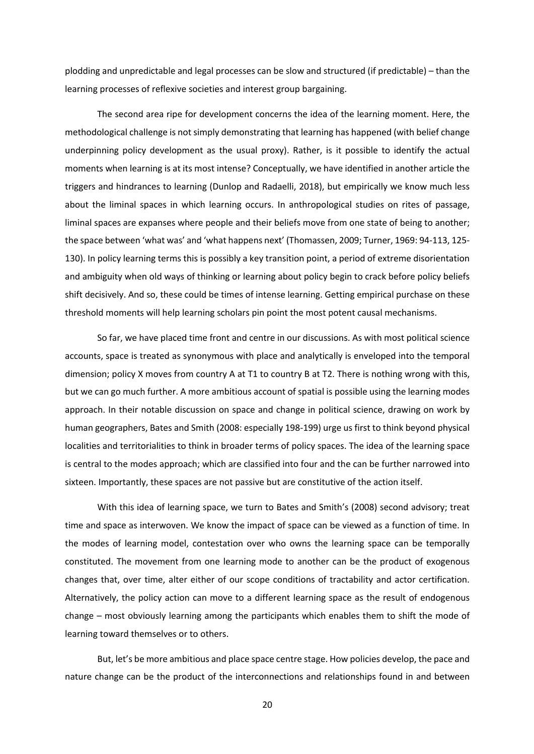plodding and unpredictable and legal processes can be slow and structured (if predictable) – than the learning processes of reflexive societies and interest group bargaining.

The second area ripe for development concerns the idea of the learning moment. Here, the methodological challenge is not simply demonstrating that learning has happened (with belief change underpinning policy development as the usual proxy). Rather, is it possible to identify the actual moments when learning is at its most intense? Conceptually, we have identified in another article the triggers and hindrances to learning (Dunlop and Radaelli, 2018), but empirically we know much less about the liminal spaces in which learning occurs. In anthropological studies on rites of passage, liminal spaces are expanses where people and their beliefs move from one state of being to another; the space between 'what was' and 'what happens next' (Thomassen, 2009; Turner, 1969: 94-113, 125- 130). In policy learning terms this is possibly a key transition point, a period of extreme disorientation and ambiguity when old ways of thinking or learning about policy begin to crack before policy beliefs shift decisively. And so, these could be times of intense learning. Getting empirical purchase on these threshold moments will help learning scholars pin point the most potent causal mechanisms.

So far, we have placed time front and centre in our discussions. As with most political science accounts, space is treated as synonymous with place and analytically is enveloped into the temporal dimension; policy X moves from country A at T1 to country B at T2. There is nothing wrong with this, but we can go much further. A more ambitious account of spatial is possible using the learning modes approach. In their notable discussion on space and change in political science, drawing on work by human geographers, Bates and Smith (2008: especially 198-199) urge us first to think beyond physical localities and territorialities to think in broader terms of policy spaces. The idea of the learning space is central to the modes approach; which are classified into four and the can be further narrowed into sixteen. Importantly, these spaces are not passive but are constitutive of the action itself.

With this idea of learning space, we turn to Bates and Smith's (2008) second advisory; treat time and space as interwoven. We know the impact of space can be viewed as a function of time. In the modes of learning model, contestation over who owns the learning space can be temporally constituted. The movement from one learning mode to another can be the product of exogenous changes that, over time, alter either of our scope conditions of tractability and actor certification. Alternatively, the policy action can move to a different learning space as the result of endogenous change – most obviously learning among the participants which enables them to shift the mode of learning toward themselves or to others.

But, let's be more ambitious and place space centre stage. How policies develop, the pace and nature change can be the product of the interconnections and relationships found in and between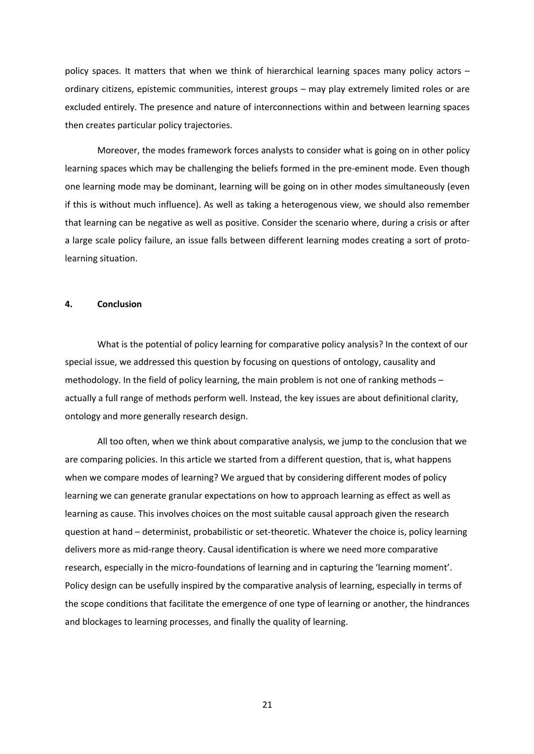policy spaces. It matters that when we think of hierarchical learning spaces many policy actors – ordinary citizens, epistemic communities, interest groups – may play extremely limited roles or are excluded entirely. The presence and nature of interconnections within and between learning spaces then creates particular policy trajectories.

Moreover, the modes framework forces analysts to consider what is going on in other policy learning spaces which may be challenging the beliefs formed in the pre-eminent mode. Even though one learning mode may be dominant, learning will be going on in other modes simultaneously (even if this is without much influence). As well as taking a heterogenous view, we should also remember that learning can be negative as well as positive. Consider the scenario where, during a crisis or after a large scale policy failure, an issue falls between different learning modes creating a sort of protolearning situation.

## **4. Conclusion**

What is the potential of policy learning for comparative policy analysis? In the context of our special issue, we addressed this question by focusing on questions of ontology, causality and methodology. In the field of policy learning, the main problem is not one of ranking methods – actually a full range of methods perform well. Instead, the key issues are about definitional clarity, ontology and more generally research design.

All too often, when we think about comparative analysis, we jump to the conclusion that we are comparing policies. In this article we started from a different question, that is, what happens when we compare modes of learning? We argued that by considering different modes of policy learning we can generate granular expectations on how to approach learning as effect as well as learning as cause. This involves choices on the most suitable causal approach given the research question at hand – determinist, probabilistic or set-theoretic. Whatever the choice is, policy learning delivers more as mid-range theory. Causal identification is where we need more comparative research, especially in the micro-foundations of learning and in capturing the 'learning moment'. Policy design can be usefully inspired by the comparative analysis of learning, especially in terms of the scope conditions that facilitate the emergence of one type of learning or another, the hindrances and blockages to learning processes, and finally the quality of learning.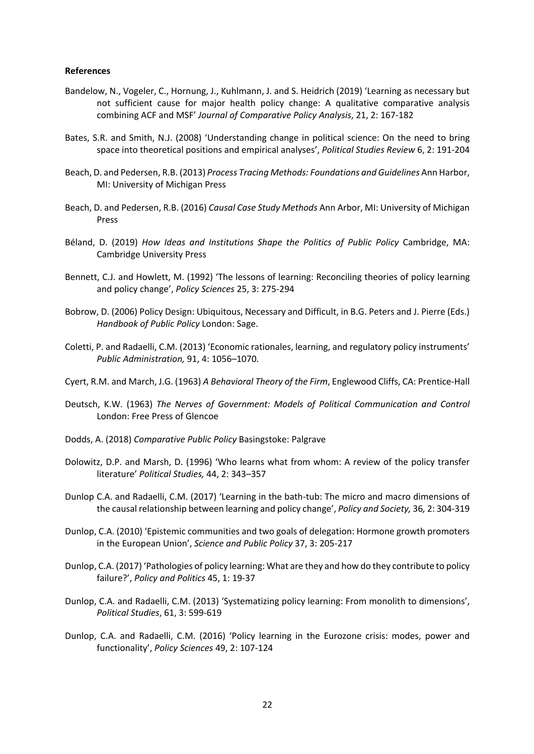## **References**

- Bandelow, N., Vogeler, C., Hornung, J., Kuhlmann, J. and S. Heidrich (2019) 'Learning as necessary but not sufficient cause for major health policy change: A qualitative comparative analysis combining ACF and MSF' *Journal of Comparative Policy Analysis*, 21, 2: 167-182
- Bates, S.R. and Smith, N.J. (2008) 'Understanding change in political science: On the need to bring space into theoretical positions and empirical analyses', *Political Studies Review* 6, 2: 191-204
- Beach, D. and Pedersen, R.B. (2013) *Process Tracing Methods: Foundations and Guidelines* Ann Harbor, MI: University of Michigan Press
- Beach, D. and Pedersen, R.B. (2016) *Causal Case Study Methods* Ann Arbor, MI: University of Michigan Press
- Béland, D. (2019) *How Ideas and Institutions Shape the Politics of Public Policy* Cambridge, MA: Cambridge University Press
- Bennett, C.J. and Howlett, M. (1992) 'The lessons of learning: Reconciling theories of policy learning and policy change', *Policy Sciences* 25, 3: 275-294
- Bobrow, D. (2006) Policy Design: Ubiquitous, Necessary and Difficult, in B.G. Peters and J. Pierre (Eds.) *Handbook of Public Policy* London: Sage.
- Coletti, P. and Radaelli, C.M. (2013) 'Economic rationales, learning, and regulatory policy instruments' *Public Administration,* 91, 4: 1056–1070.
- Cyert, R.M. and March, J.G. (1963) *A Behavioral Theory of the Firm*, Englewood Cliffs, CA: Prentice-Hall
- Deutsch, K.W. (1963) *The Nerves of Government: Models of Political Communication and Control* London: Free Press of Glencoe
- Dodds, A. (2018) *Comparative Public Policy* Basingstoke: Palgrave
- Dolowitz, D.P. and Marsh, D. (1996) 'Who learns what from whom: A review of the policy transfer literature' *Political Studies,* 44, 2: 343–357
- Dunlop C.A. and Radaelli, C.M. (2017) 'Learning in the bath-tub: The micro and macro dimensions of the causal relationship between learning and policy change', *Policy and Society,* 36*,* 2: 304-319
- Dunlop, C.A. (2010) 'Epistemic communities and two goals of delegation: Hormone growth promoters in the European Union', *Science and Public Policy* 37, 3: 205-217
- Dunlop, C.A. (2017) 'Pathologies of policy learning: What are they and how do they contribute to policy failure?', *Policy and Politics* 45, 1: 19-37
- Dunlop, C.A. and Radaelli, C.M. (2013) 'Systematizing policy learning: From monolith to dimensions', *Political Studies*, 61, 3: 599-619
- Dunlop, C.A. and Radaelli, C.M. (2016) 'Policy learning in the Eurozone crisis: modes, power and functionality', *Policy Sciences* 49, 2: 107-124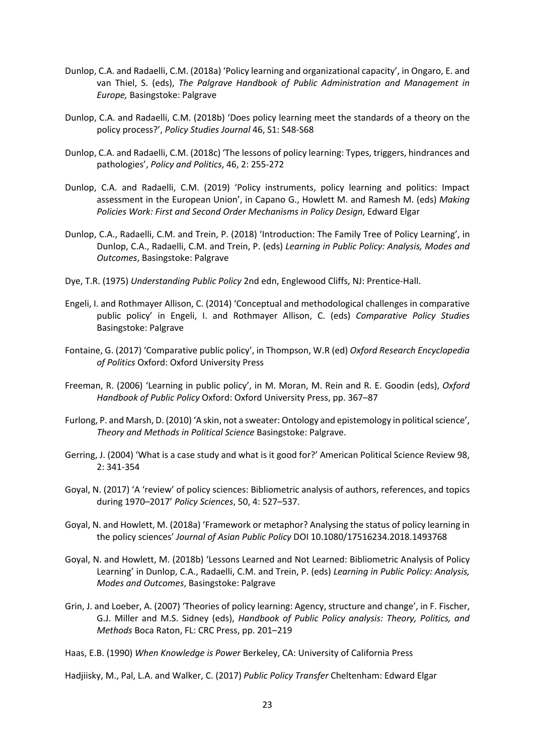- Dunlop, C.A. and Radaelli, C.M. (2018a) 'Policy learning and organizational capacity', in Ongaro, E. and van Thiel, S. (eds), *The Palgrave Handbook of Public Administration and Management in Europe,* Basingstoke: Palgrave
- Dunlop, C.A. and Radaelli, C.M. (2018b) 'Does policy learning meet the standards of a theory on the policy process?', *Policy Studies Journal* 46, S1: S48-S68
- Dunlop, C.A. and Radaelli, C.M. (2018c) 'The lessons of policy learning: Types, triggers, hindrances and pathologies', *Policy and Politics*, 46, 2: 255-272
- Dunlop, C.A. and Radaelli, C.M. (2019) 'Policy instruments, policy learning and politics: Impact assessment in the European Union', in Capano G., Howlett M. and Ramesh M. (eds) *Making Policies Work: First and Second Order Mechanisms in Policy Design*, Edward Elgar
- Dunlop, C.A., Radaelli, C.M. and Trein, P. (2018) 'Introduction: The Family Tree of Policy Learning', in Dunlop, C.A., Radaelli, C.M. and Trein, P. (eds) *Learning in Public Policy: Analysis, Modes and Outcomes*, Basingstoke: Palgrave
- Dye, T.R. (1975) *Understanding Public Policy* 2nd edn, Englewood Cliffs, NJ: Prentice-Hall.
- Engeli, I. and Rothmayer Allison, C. (2014) 'Conceptual and methodological challenges in comparative public policy' in Engeli, I. and Rothmayer Allison, C. (eds) *Comparative Policy Studies* Basingstoke: Palgrave
- Fontaine, G. (2017) 'Comparative public policy', in Thompson, W.R (ed) *Oxford Research Encyclopedia of Politics* Oxford: Oxford University Press
- Freeman, R. (2006) 'Learning in public policy', in M. Moran, M. Rein and R. E. Goodin (eds), *Oxford Handbook of Public Policy* Oxford: Oxford University Press, pp. 367–87
- Furlong, P. and Marsh, D. (2010) 'A skin, not a sweater: Ontology and epistemology in political science', *Theory and Methods in Political Science* Basingstoke: Palgrave.
- Gerring, J. (2004) 'What is a case study and what is it good for?' American Political Science Review 98, 2: 341-354
- Goyal, N. (2017) 'A 'review' of policy sciences: Bibliometric analysis of authors, references, and topics during 1970–2017' *Policy Sciences*, 50, 4: 527–537.
- Goyal, N. and Howlett, M. (2018a) 'Framework or metaphor? Analysing the status of policy learning in the policy sciences' *Journal of Asian Public Policy* DOI 10.1080/17516234.2018.1493768
- Goyal, N. and Howlett, M. (2018b) 'Lessons Learned and Not Learned: Bibliometric Analysis of Policy Learning' in Dunlop, C.A., Radaelli, C.M. and Trein, P. (eds) *Learning in Public Policy: Analysis, Modes and Outcomes*, Basingstoke: Palgrave
- Grin, J. and Loeber, A. (2007) 'Theories of policy learning: Agency, structure and change', in F. Fischer, G.J. Miller and M.S. Sidney (eds), *Handbook of Public Policy analysis: Theory, Politics, and Methods* Boca Raton, FL: CRC Press, pp. 201–219

Haas, E.B. (1990) *When Knowledge is Power* Berkeley, CA: University of California Press

Hadjiisky, M., Pal, L.A. and Walker, C. (2017) *Public Policy Transfer* Cheltenham: Edward Elgar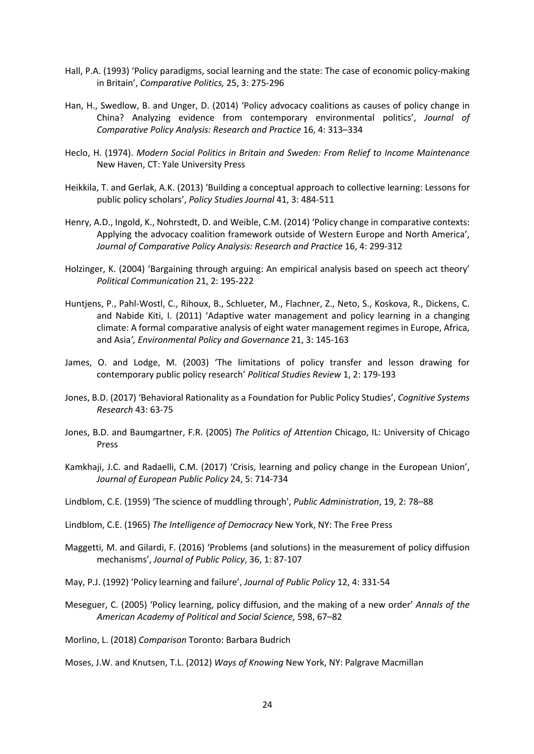- Hall, P.A. (1993) 'Policy paradigms, social learning and the state: The case of economic policy-making in Britain', *Comparative Politics,* 25, 3: 275-296
- Han, H., Swedlow, B. and Unger, D. (2014) 'Policy advocacy coalitions as causes of policy change in China? Analyzing evidence from contemporary environmental politics', *Journal of Comparative Policy Analysis: Research and Practice* 16, 4: 313–334
- Heclo, H. (1974). *Modern Social Politics in Britain and Sweden: From Relief to Income Maintenance* New Haven, CT: Yale University Press
- Heikkila, T. and Gerlak, A.K. (2013) 'Building a conceptual approach to collective learning: Lessons for public policy scholars', *Policy Studies Journal* 41, 3: 484-511
- Henry, A.D., Ingold, K., Nohrstedt, D. and Weible, C.M. (2014) 'Policy change in comparative contexts: Applying the advocacy coalition framework outside of Western Europe and North America', *Journal of Comparative Policy Analysis: Research and Practice* 16, 4: 299-312
- Holzinger, K. (2004) 'Bargaining through arguing: An empirical analysis based on speech act theory' *Political Communication* 21, 2: 195-222
- Huntjens, P., Pahl-Wostl, C., Rihoux, B., Schlueter, M., Flachner, Z., Neto, S., Koskova, R., Dickens, C. and Nabide Kiti, I. (2011) 'Adaptive water management and policy learning in a changing climate: A formal comparative analysis of eight water management regimes in Europe, Africa, and Asia*', Environmental Policy and Governance* 21, 3: 145-163
- James, O. and Lodge, M. (2003) 'The limitations of policy transfer and lesson drawing for contemporary public policy research' *Political Studies Review* 1, 2: 179-193
- Jones, B.D. (2017) 'Behavioral Rationality as a Foundation for Public Policy Studies', *Cognitive Systems Research* 43: 63-75
- Jones, B.D. and Baumgartner, F.R. (2005) *The Politics of Attention* Chicago, IL: University of Chicago Press
- Kamkhaji, J.C. and Radaelli, C.M. (2017) 'Crisis, learning and policy change in the European Union', *Journal of European Public Policy* 24, 5: 714-734
- Lindblom, C.E. (1959) 'The science of muddling through', *Public Administration*, 19, 2: 78–88
- Lindblom, C.E. (1965) *The Intelligence of Democracy* New York, NY: The Free Press
- Maggetti, M. and Gilardi, F. (2016) 'Problems (and solutions) in the measurement of policy diffusion mechanisms', *Journal of Public Policy*, 36, 1: 87-107
- May, P.J. (1992) 'Policy learning and failure', *Journal of Public Policy* 12, 4: 331-54
- Meseguer, C. (2005) 'Policy learning, policy diffusion, and the making of a new order' *Annals of the American Academy of Political and Social Science,* 598, 67–82
- Morlino, L. (2018) *Comparison* Toronto: Barbara Budrich

Moses, J.W. and Knutsen, T.L. (2012) *Ways of Knowing* New York, NY: Palgrave Macmillan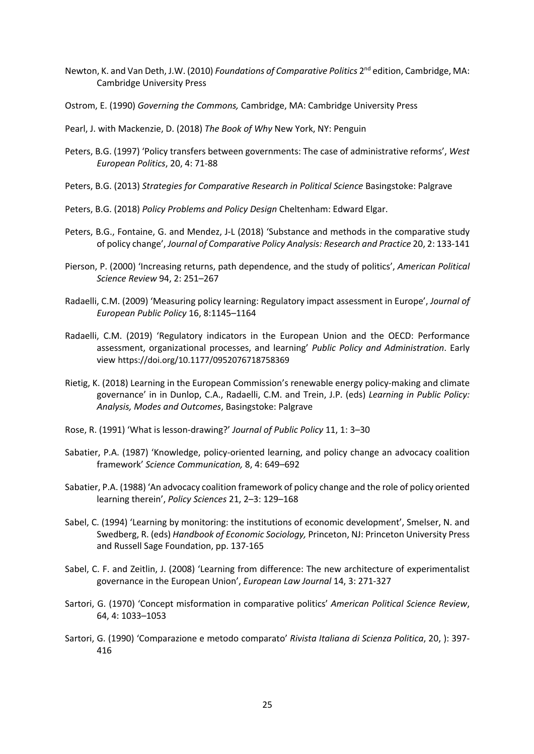- Newton, K. and Van Deth, J.W. (2010) *Foundations of Comparative Politics* 2nd edition, Cambridge, MA: Cambridge University Press
- Ostrom, E. (1990) *Governing the Commons,* Cambridge, MA: Cambridge University Press
- Pearl, J. with Mackenzie, D. (2018) *The Book of Why* New York, NY: Penguin
- Peters, B.G. (1997) 'Policy transfers between governments: The case of administrative reforms', *West European Politics*, 20, 4: 71-88
- Peters, B.G. (2013) *Strategies for Comparative Research in Political Science* Basingstoke: Palgrave
- Peters, B.G. (2018) *Policy Problems and Policy Design* Cheltenham: Edward Elgar.
- Peters, B.G., Fontaine, G. and Mendez, J-L (2018) 'Substance and methods in the comparative study of policy change', *Journal of Comparative Policy Analysis: Research and Practice* 20, 2: 133-141
- Pierson, P. (2000) 'Increasing returns, path dependence, and the study of politics', *American Political Science Review* 94, 2: 251–267
- Radaelli, C.M. (2009) 'Measuring policy learning: Regulatory impact assessment in Europe', *Journal of European Public Policy* 16, 8:1145–1164
- Radaelli, C.M. (2019) 'Regulatory indicators in the European Union and the OECD: Performance assessment, organizational processes, and learning' *Public Policy and Administration*. Early view https://doi.org/10.1177/0952076718758369
- Rietig, K. (2018) Learning in the European Commission's renewable energy policy-making and climate governance' in in Dunlop, C.A., Radaelli, C.M. and Trein, J.P. (eds) *Learning in Public Policy: Analysis, Modes and Outcomes*, Basingstoke: Palgrave
- Rose, R. (1991) 'What is lesson-drawing?' *Journal of Public Policy* 11, 1: 3–30
- Sabatier, P.A. (1987) 'Knowledge, policy-oriented learning, and policy change an advocacy coalition framework' *Science Communication,* 8, 4: 649–692
- Sabatier, P.A. (1988) 'An advocacy coalition framework of policy change and the role of policy oriented learning therein', *Policy Sciences* 21, 2–3: 129–168
- Sabel, C. (1994) 'Learning by monitoring: the institutions of economic development', Smelser, N. and Swedberg, R. (eds) *Handbook of Economic Sociology,* Princeton, NJ: Princeton University Press and Russell Sage Foundation, pp. 137-165
- Sabel, C. F. and Zeitlin, J. (2008) 'Learning from difference: The new architecture of experimentalist governance in the European Union', *European Law Journal* 14, 3: 271-327
- Sartori, G. (1970) 'Concept misformation in comparative politics' *American Political Science Review*, 64, 4: 1033–1053
- Sartori, G. (1990) 'Comparazione e metodo comparato' *Rivista Italiana di Scienza Politica*, 20, ): 397- 416